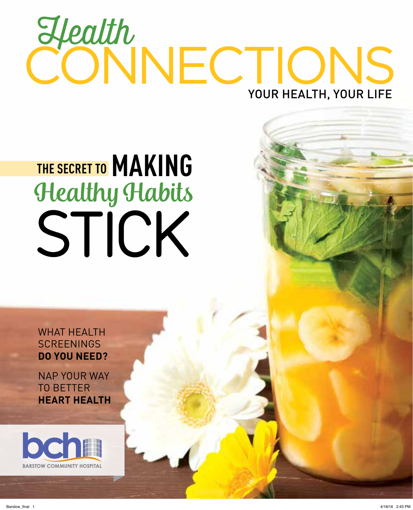## **Health**<br>CONNECTIONS YOUR HEALTH, YOUR LIFE

### Healthy Habits STICK **THE SECRET TO MAKING**

WHAT HEALTH **SCREENINGS DO YOU NEED?**

NAP YOUR WAY TO BETTER **HEART HEALTH**

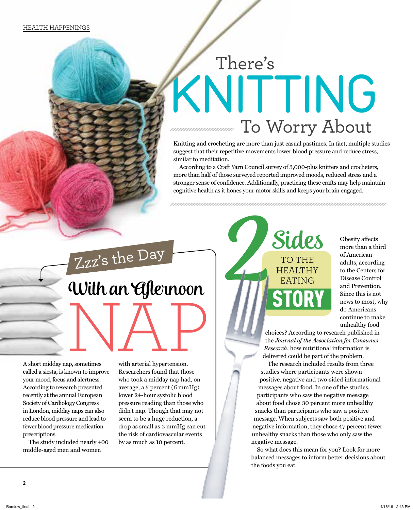### There's KNITTING To Worry About

Knitting and crocheting are more than just casual pastimes. In fact, multiple studies suggest that their repetitive movements lower blood pressure and reduce stress, similar to meditation.

According to a Craft Yarn Council survey of 3,000-plus knitters and crocheters, more than half of those surveyed reported improved moods, reduced stress and a stronger sense of confidence. Additionally, practicing these crafts may help maintain cognitive health as it hones your motor skills and keeps your brain engaged.

### an, sometimes with arterial hypertension. With an *Afternoon*

A short midday nap, sometimes called a siesta, is known to improve your mood, focus and alertness. According to research presented recently at the annual European Society of Cardiology Congress in London, midday naps can also reduce blood pressure and lead to fewer blood pressure medication prescriptions.

The study included nearly 400 middle-aged men and women

with arterial hypertension. Researchers found that those who took a midday nap had, on average, a 5 percent (6 mmHg) lower 24-hour systolic blood pressure reading than those who didn't nap. Though that may not seem to be a huge reduction, a drop as small as 2 mmHg can cut the risk of cardiovascular events by as much as 10 percent.



Obesity affects more than a third of American adults, according to the Centers for Disease Control and Prevention. Since this is not news to most, why do Americans continue to make unhealthy food

choices? According to research published in the *Journal of the Association for Consumer Research*, how nutritional information is delivered could be part of the problem.

The research included results from three studies where participants were shown positive, negative and two-sided informational messages about food. In one of the studies, participants who saw the negative message about food chose 30 percent more unhealthy snacks than participants who saw a positive message. When subjects saw both positive and negative information, they chose 47 percent fewer unhealthy snacks than those who only saw the negative message.

So what does this mean for you? Look for more balanced messages to inform better decisions about the foods you eat.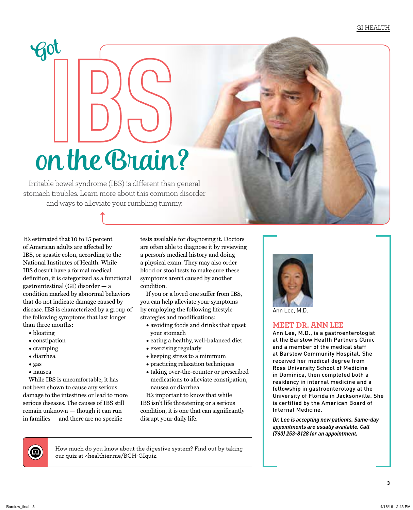### on the Brain?

Irritable bowel syndrome (IBS) is different than general stomach troubles. Learn more about this common disorder and ways to alleviate your rumbling tummy.

It's estimated that 10 to 15 percent of American adults are affected by IBS, or spastic colon, according to the National Institutes of Health. While IBS doesn't have a formal medical definition, it is categorized as a functional gastrointestinal (GI) disorder — a condition marked by abnormal behaviors that do not indicate damage caused by disease. IBS is characterized by a group of the following symptoms that last longer than three months:

- bloating
- constipation

Got

- cramping
- diarrhea
- gas
- nausea

While IBS is uncomfortable, it has not been shown to cause any serious damage to the intestines or lead to more serious diseases. The causes of IBS still remain unknown — though it can run  $in$  families  $-$  and there are no specific

tests available for diagnosing it. Doctors are often able to diagnose it by reviewing a person's medical history and doing a physical exam. They may also order blood or stool tests to make sure these symptoms aren't caused by another condition.

If you or a loved one suffer from IBS, you can help alleviate your symptoms by employing the following lifestyle strategies and modifications:

- avoiding foods and drinks that upset your stomach
- eating a healthy, well-balanced diet
- exercising regularly
- keeping stress to a minimum
- practicing relaxation techniques
- taking over-the-counter or prescribed medications to alleviate constipation, nausea or diarrhea

It's important to know that while IBS isn't life threatening or a serious condition, it is one that can significantly disrupt your daily life.



Ann Lee, M.D.

### **MEET DR. ANN LEE**

Ann Lee, M.D., is a gastroenterologist at the Barstow Health Partners Clinic and a member of the medical staff at Barstow Community Hospital. She received her medical degree from Ross University School of Medicine in Dominica, then completed both a residency in internal medicine and a fellowship in gastroenterology at the University of Florida in Jacksonville. She is certified by the American Board of Internal Medicine.

*Dr. Lee is accepting new patients. Same-day appointments are usually available. Call (760) 253-8128 for an appointment.*



How much do you know about the digestive system? Find out by taking our quiz at 4healthier.me/BCH-GIquiz.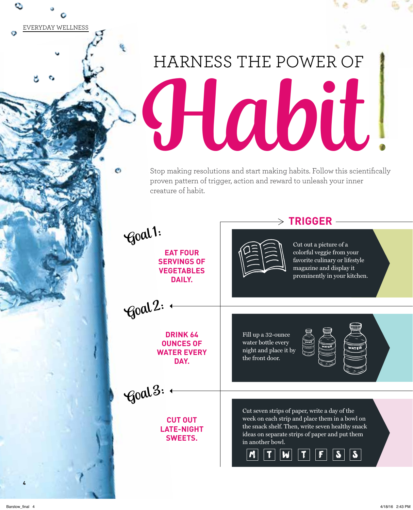Habit HARNESS THE POWER OF

Stop making resolutions and start making habits. Follow this scientifically proven pattern of trigger, action and reward to unleash your inner creature of habit.

Goal 3:  $\leftarrow$ **EAT FOUR SERVINGS OF VEGETABLES DAILY.** Cut out a picture of a colorful veggie from your favorite culinary or lifestyle magazine and display it prominently in your kitchen. **DRINK 64 OUNCES OF WATER EVERY DAY.** Fill up a 32-ounce water bottle every night and place it by the front door. **CUT OUT LATE-NIGHT SWEETS.** Cut seven strips of paper, write a day of the week on each strip and place them in a bowl on the snack shelf. Then, write seven healthy snack ideas on separate strips of paper and put them in another bowl. Goal 1: Goal 2:  $\leftarrow$  $\mathcal{M}$   $\mathcal{T}$   $\mathcal{W}$   $\mathcal{T}$   $\mathcal{T}$   $\mathcal{T}$   $\mathcal{T}$  $\rightarrow$  TRIGGER -

**4**

EVERYDAY WELLNESS

O

٥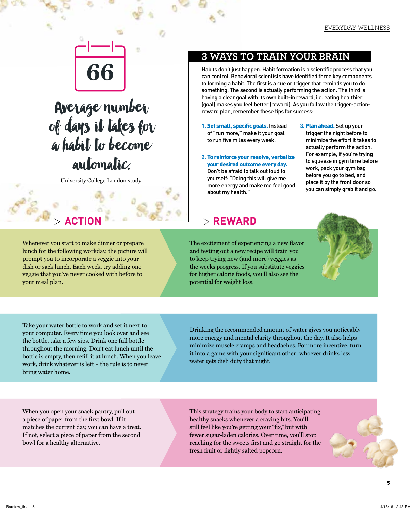

### **Average number and the Computation of the Computation of the Computation of the Computation of the Computation of the day of the Computation of the day of the Computation of the day of the computation of the computation o** automatic.

-University College London study

Whenever you start to make dinner or prepare lunch for the following workday, the picture will prompt you to incorporate a veggie into your dish or sack lunch. Each week, try adding one veggie that you've never cooked with before to your meal plan.

### **3 WAYS TO TRAIN YOUR BRAIN**

Habits don't just happen. Habit formation is a scientific process that you can control. Behavioral scientists have identified three key components to forming a habit. The first is a cue or trigger that reminds you to do something. The second is actually performing the action. The third is having a clear goal with its own built-in reward, i.e. eating healthier (goal) makes you feel better (reward). As you follow the trigger-action-

- **1. Set small, specific goals. Instead** of "run more," make it your goal to run five miles every week.
- **2.** To reinforce your resolve, verbalize your desired outcome every day. Don't be afraid to talk out loud to yourself: "Doing this will give me more energy and make me feel good about my health."
- **3.** Plan ahead. Set up your trigger the night before to minimize the effort it takes to actually perform the action. For example, if you're trying to squeeze in gym time before work, pack your gym bag before you go to bed, and place it by the front door so you can simply grab it and go.

### $\rightarrow$  **REWARD**

The excitement of experiencing a new flavor and testing out a new recipe will train you to keep trying new (and more) veggies as the weeks progress. If you substitute veggies for higher calorie foods, you'll also see the potential for weight loss.



Take your water bottle to work and set it next to your computer. Every time you look over and see the bottle, take a few sips. Drink one full bottle throughout the morning. Don't eat lunch until the bottle is empty, then refill it at lunch. When you leave work, drink whatever is left – the rule is to never bring water home.

Drinking the recommended amount of water gives you noticeably more energy and mental clarity throughout the day. It also helps minimize muscle cramps and headaches. For more incentive, turn it into a game with your significant other: whoever drinks less water gets dish duty that night.

When you open your snack pantry, pull out a piece of paper from the first bowl. If it matches the current day, you can have a treat. If not, select a piece of paper from the second bowl for a healthy alternative.

This strategy trains your body to start anticipating healthy snacks whenever a craving hits. You'll still feel like you're getting your "fix," but with fewer sugar-laden calories. Over time, you'll stop reaching for the sweets first and go straight for the fresh fruit or lightly salted popcorn.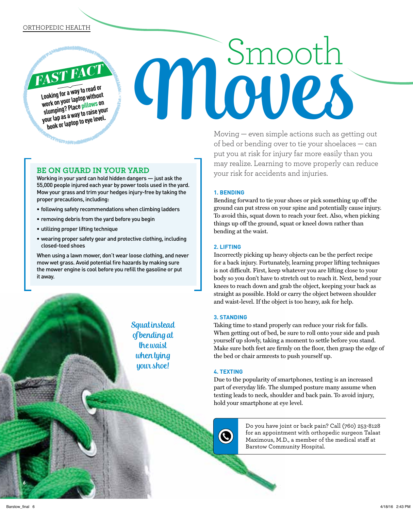### ORTHOPEDIC HEALTH

*FAST FACT* **Looking for a way to read or work on your laptop without slumping? Place pillows on your lap as a way to raise your book or laptop to eye level.**

**THE PERSON** 

### **BE ON GUARD IN YOUR YARD**

Working in your yard can hold hidden dangers — just ask the 55,000 people injured each year by power tools used in the yard. Mow your grass and trim your hedges injury-free by taking the proper precautions, including:

- following safety recommendations when climbing ladders
- removing debris from the yard before you begin
- utilizing proper lifting technique
- wearing proper safety gear and protective clothing, including closed-toed shoes

When using a lawn mower, don't wear loose clothing, and never mow wet grass. Avoid potential fire hazards by making sure the mower engine is cool before you refill the gasoline or put it away.

> Squat instead of bending at the waist when tying your shoe!

Moving — even simple actions such as getting out of bed or bending over to tie your shoelaces — can put you at risk for injury far more easily than you may realize. Learning to move properly can reduce your risk for accidents and injuries.

Smoot.

### **1. BENDING**

**Moves** 

Bending forward to tie your shoes or pick something up off the ground can put stress on your spine and potentially cause injury. To avoid this, squat down to reach your feet. Also, when picking things up off the ground, squat or kneel down rather than bending at the waist.

### **2. LIFTING**

Incorrectly picking up heavy objects can be the perfect recipe for a back injury. Fortunately, learning proper lifting techniques is not difficult. First, keep whatever you are lifting close to your body so you don't have to stretch out to reach it. Next, bend your knees to reach down and grab the object, keeping your back as straight as possible. Hold or carry the object between shoulder and waist-level. If the object is too heavy, ask for help.

### **3. STANDING**

Taking time to stand properly can reduce your risk for falls. When getting out of bed, be sure to roll onto your side and push yourself up slowly, taking a moment to settle before you stand. Make sure both feet are firmly on the floor, then grasp the edge of the bed or chair armrests to push yourself up.

### **4. TEXTING**

Q

Due to the popularity of smartphones, texting is an increased part of everyday life. The slumped posture many assume when texting leads to neck, shoulder and back pain. To avoid injury, hold your smartphone at eye level.

> Do you have joint or back pain? Call (760) 253-8128 for an appointment with orthopedic surgeon Talaat Maximous, M.D., a member of the medical staff at Barstow Community Hospital.

**6**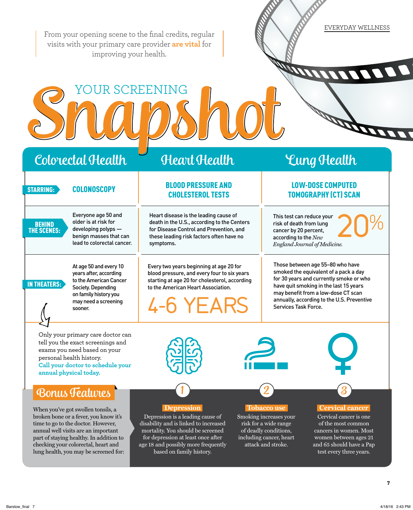EVERYDAY WELLNESS From your opening scene to the final credits, regular visits with your primary care provider **are vital** for improving your health. **PARTICIP** STUUDS NOT Colorectal Health Heart Health Lung Health LOW-DOSE COMPUTED BLOOD PRESSURE AND STARRING: COLONOSCOPY **EXAMPLE THE COLONOSCOPY** TOMOGRAPHY (CT) SCAN Everyone age 50 and Heart disease is the leading cause of This test can reduce your  $20%$ older is at risk for death in the U.S., according to the Centers risk of death from lung **BEHIND** for Disease Control and Prevention, and THE SCENES: developing polyps cancer by 20 percent, benign masses that can these leading risk factors often have no according to the *New*  lead to colorectal cancer. symptoms. *England Journal of Medicine.* Those between age 55–80 who have At age 50 and every 10 Every two years beginning at age 20 for smoked the equivalent of a pack a day years after, according blood pressure, and every four to six years for 30 years and currently smoke or who to the American Cancer starting at age 20 for cholesterol, according IN THEATERS: have quit smoking in the last 15 years Society. Depending to the American Heart Association. may benefit from a low-dose CT scan on family history you annually, according to the U.S. Preventive may need a screening 4-6 YEARS Services Task Force. sooner. Only your primary care doctor can tell you the exact screenings and exams you need based on your personal health history. **Call your doctor to schedule your annual physical today.** Bonus Features  **Depression Tobacco use Cervical cancer** When you've got swollen tonsils, a broken bone or a fever, you know it's Depression is a leading cause of Smoking increases your Cervical cancer is one time to go to the doctor. However, disability and is linked to increased risk for a wide range of the most common annual well visits are an important mortality. You should be screened of deadly conditions, cancers in women. Most part of staying healthy. In addition to for depression at least once after including cancer, heart women between ages 21 checking your colorectal, heart and age 18 and possibly more frequently attack and stroke. and 65 should have a Pap lung health, you may be screened for: based on family history. test every three years. **7**